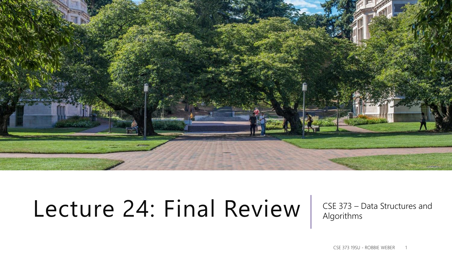

# Lecture 24: Final Review | CSE 373 – Data Structures and

Algorithms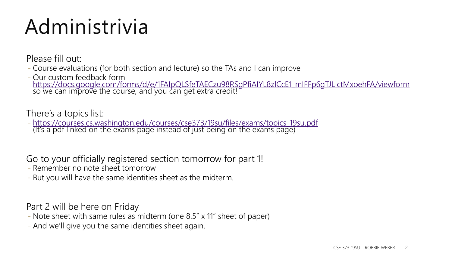### Administrivia

Please fill out:

- Course evaluations (for both section and lecture) so the TAs and I can improve
- Our custom feedback form [https://docs.google.com/forms/d/e/1FAIpQLSfeTAECzu98RSgPfiAIYL8zlCcE1\\_mIFFp6gTJLlctMxoehFA/viewform](https://docs.google.com/forms/d/e/1FAIpQLSfeTAECzu98RSgPfiAIYL8zlCcE1_mIFFp6gTJLlctMxoehFA/viewform) so we can improve the course, and you can get extra credit!

There's a topics list:

- [https://courses.cs.washington.edu/courses/cse373/19su/files/exams/topics\\_19su.pdf](https://courses.cs.washington.edu/courses/cse373/19su/files/exams/topics_19su.pdf) (It's a pdf linked on the exams page instead of just being on the exams page)

Go to your officially registered section tomorrow for part 1!

- Remember no note sheet tomorrow
- But you will have the same identities sheet as the midterm.

Part 2 will be here on Friday

- Note sheet with same rules as midterm (one 8.5" x 11" sheet of paper)
- And we'll give you the same identities sheet again.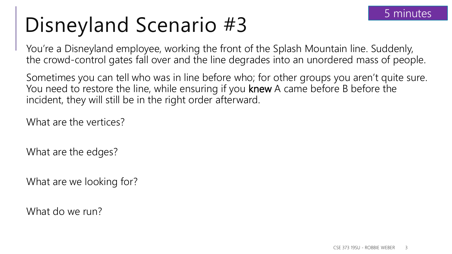# Disneyland Scenario #3

You're a Disneyland employee, working the front of the Splash Mountain line. Suddenly, the crowd-control gates fall over and the line degrades into an unordered mass of people.

Sometimes you can tell who was in line before who; for other groups you aren't quite sure. You need to restore the line, while ensuring if you knew A came before B before the incident, they will still be in the right order afterward.

What are the vertices?

What are the edges?

What are we looking for?

What do we run?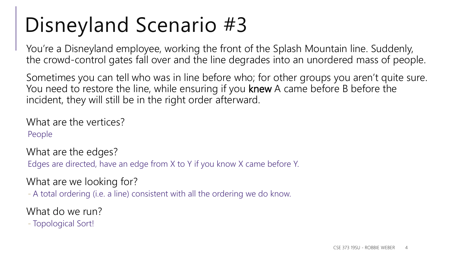# Disneyland Scenario #3

You're a Disneyland employee, working the front of the Splash Mountain line. Suddenly, the crowd-control gates fall over and the line degrades into an unordered mass of people.

Sometimes you can tell who was in line before who; for other groups you aren't quite sure. You need to restore the line, while ensuring if you knew A came before B before the incident, they will still be in the right order afterward.

What are the vertices? People

What are the edges?

Edges are directed, have an edge from X to Y if you know X came before Y.

What are we looking for?

- A total ordering (i.e. a line) consistent with all the ordering we do know.

What do we run?

- Topological Sort!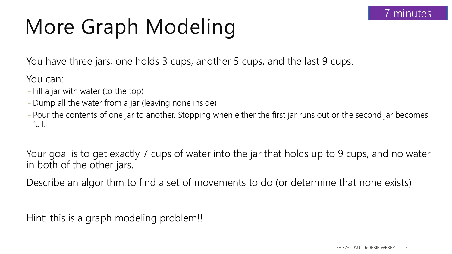## More Graph Modeling

You have three jars, one holds 3 cups, another 5 cups, and the last 9 cups.

You can:

- Fill a jar with water (to the top)
- Dump all the water from a jar (leaving none inside)
- Pour the contents of one jar to another. Stopping when either the first jar runs out or the second jar becomes full.

Your goal is to get exactly 7 cups of water into the jar that holds up to 9 cups, and no water in both of the other jars.

Describe an algorithm to find a set of movements to do (or determine that none exists)

Hint: this is a graph modeling problem!!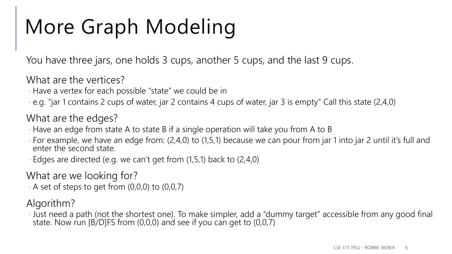## More Graph Modeling

You have three jars, one holds 3 cups, another 5 cups, and the last 9 cups.

What are the vertices?

- Have a vertex for each possible "state" we could be in
- e.g. "jar 1 contains 2 cups of water, jar 2 contains 4 cups of water, jar 3 is empty" Call this state (2,4,0)

What are the edges?

- Have an edge from state A to state B if a single operation will take you from A to B
- For example, we have an edge from: (2,4,0) to (1,5,1) because we can pour from jar 1 into jar 2 until it's full and enter the second state.
- Edges are directed (e.g. we can't get from (1,5,1) back to (2,4,0)

What are we looking for?

 $-$  A set of steps to get from  $(0,0,0)$  to  $(0,0,7)$ 

Algorithm?

- Just need a path (not the shortest one). To make simpler, add a "dummy target" accessible from any good final state. Now run [B/D]FS from (0,0,0) and see if you can get to (0,0,7)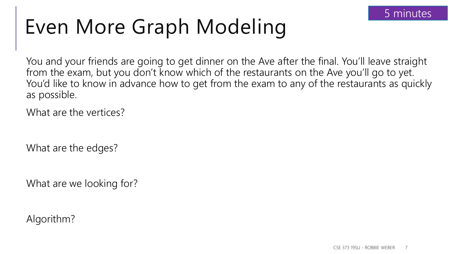## Even More Graph Modeling

You and your friends are going to get dinner on the Ave after the final. You'll leave straight from the exam, but you don't know which of the restaurants on the Ave you'll go to yet. You'd like to know in advance how to get from the exam to any of the restaurants as quickly as possible.

What are the vertices?

What are the edges?

What are we looking for?

Algorithm?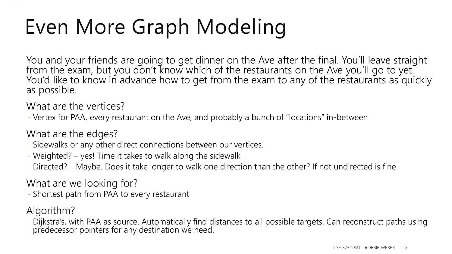## Even More Graph Modeling

You and your friends are going to get dinner on the Ave after the final. You'll leave straight from the exam, but you don't know which of the restaurants on the Ave you'll go to yet. You'd like to know in advance how to get from the exam to any of the restaurants as quickly as possible.

What are the vertices?

- Vertex for PAA, every restaurant on the Ave, and probably a bunch of "locations" in-between

What are the edges?

- Sidewalks or any other direct connections between our vertices.

- Weighted? – yes! Time it takes to walk along the sidewalk

- Directed? – Maybe. Does it take longer to walk one direction than the other? If not undirected is fine.

What are we looking for?

- Shortest path from PAA to every restaurant

Algorithm?

- Dijkstra's, with PAA as source. Automatically find distances to all possible targets. Can reconstruct paths using predecessor pointers for any destination we need.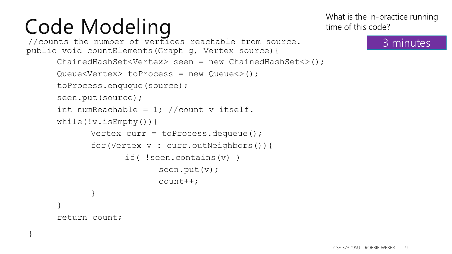}

```
//counts the number of vertices reachable from source.
public void countElements(Graph g, Vertex source){
      ChainedHashSet<Vertex> seen = new ChainedHashSet<>();
      Queue<Vertex> toProcess = new Queue<>();
      toProcess.enquque(source);
      seen.put(source);
      int numReachable = 1; //count v itself.
      while(!v.isEmpty()){
             Vertex curr = toProcess.dequeue();
             for(Vertex v : curr.outNeighbors()){
                    if( !seen.contains(v) )
                          seen.put(v);
                          count++;
             }
      }
      return count;
```
What is the in-practice running time of this code?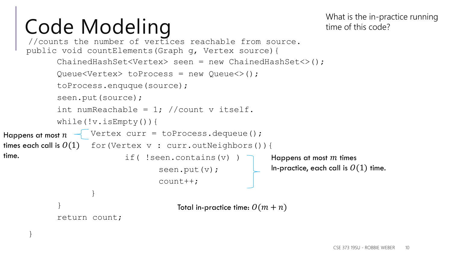What is the in-practice running time of this code?

```
//counts the number of vertices reachable from source.
     public void countElements(Graph g, Vertex source){
            ChainedHashSet<Vertex> seen = new ChainedHashSet<>();
            Queue<Vertex> toProcess = new Queue<>();
            toProcess.enquque(source);
            seen.put(source);
            int numReachable = 1; //count v itself.
            while(!v.isEmpty()){
                 \sqrt{ } Vertex curr = toProcess.dequeue();
fimes each call is O(1) for (Vertex \,\mathrm{v}\, : curr.outNeighbors()){
                           if( !seen.contains(v) )
                                   seen.put(v);
                                   count++;
                    }
            }
            return count;
      }
                                                            Happens at most m times
                                                             In-practice, each call is O(1) time.
Happens at most n^{-1}time.
                                       Total in-practice time: O(m + n)
```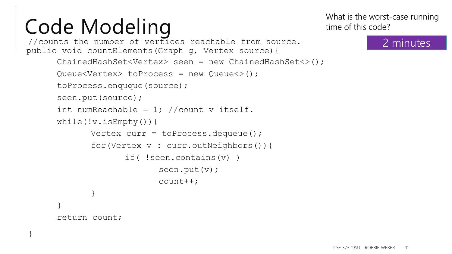}

```
//counts the number of vertices reachable from source.
public void countElements(Graph g, Vertex source){
      ChainedHashSet<Vertex> seen = new ChainedHashSet<>();
      Queue<Vertex> toProcess = new Queue<>();
      toProcess.enquque(source);
      seen.put(source);
      int numReachable = 1; //count v itself.
      while(!v.isEmpty()){
             Vertex curr = toProcess.dequeue();
             for(Vertex v : curr.outNeighbors()){
                    if( !seen.contains(v) )
                          seen.put(v);
                          count++;
             }
      }
      return count;
```
What is the worst-case running time of this code?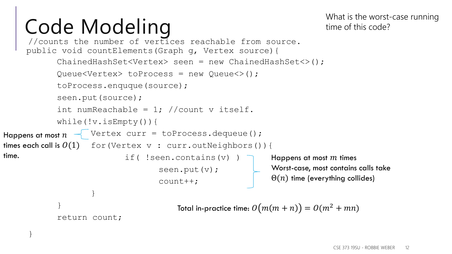}

What is the worst-case running time of this code?

```
//counts the number of vertices reachable from source.
     public void countElements(Graph g, Vertex source){
            ChainedHashSet<Vertex> seen = new ChainedHashSet<>();
            Queue<Vertex> toProcess = new Queue<>();
            toProcess.enquque(source);
            seen.put(source);
            int numReachable = 1; //count v itself.
            while(!v.isEmpty()){
                 \sqrt{ } Vertex curr = toProcess.dequeue();
fimes each call is O(1) for (Vertex \,\mathrm{v}\, : curr.outNeighbors()){
                            if( !seen.contains(v) )
                                    seen.put(v);
                                    count++;
                    }
            }
            return count;
                                                              Happens at most m times
                                                              Worst-case, most contains calls take 
                                                              \Theta(n) time (everything collides)
Happens at most n^{-1}time.
                                        Total in-practice time: O(m(m + n)) = O(m^2 + mn)
```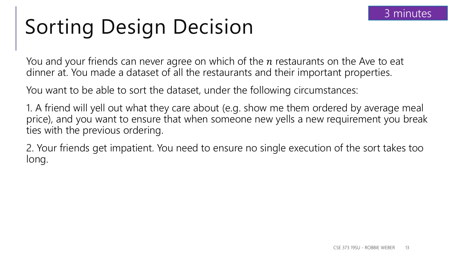# Sorting Design Decision

You and your friends can never agree on which of the  $n$  restaurants on the Ave to eat dinner at. You made a dataset of all the restaurants and their important properties.

You want to be able to sort the dataset, under the following circumstances:

1. A friend will yell out what they care about (e.g. show me them ordered by average meal price), and you want to ensure that when someone new yells a new requirement you break ties with the previous ordering.

2. Your friends get impatient. You need to ensure no single execution of the sort takes too long.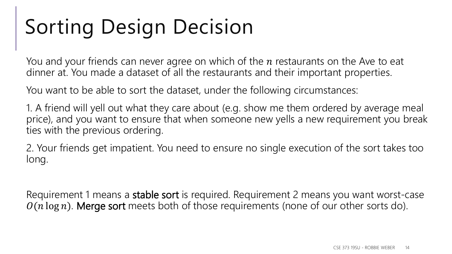# Sorting Design Decision

You and your friends can never agree on which of the  $n$  restaurants on the Ave to eat dinner at. You made a dataset of all the restaurants and their important properties.

You want to be able to sort the dataset, under the following circumstances:

1. A friend will yell out what they care about (e.g. show me them ordered by average meal price), and you want to ensure that when someone new yells a new requirement you break ties with the previous ordering.

2. Your friends get impatient. You need to ensure no single execution of the sort takes too long.

Requirement 1 means a stable sort is required. Requirement 2 means you want worst-case  $O(n \log n)$ . Merge sort meets both of those requirements (none of our other sorts do).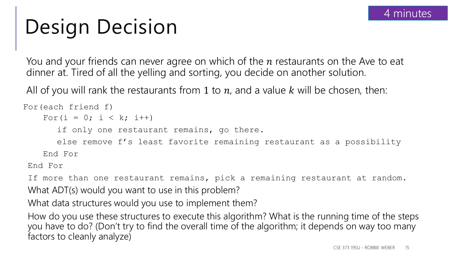## Design Decision

You and your friends can never agree on which of the  $n$  restaurants on the Ave to eat dinner at. Tired of all the yelling and sorting, you decide on another solution.

All of you will rank the restaurants from 1 to  $n$ , and a value  $k$  will be chosen, then:

```
For(each friend f)
    For(i = 0; i < k; i++)
      if only one restaurant remains, go there.
      else remove f's least favorite remaining restaurant as a possibility
    End For
```
End For

If more than one restaurant remains, pick a remaining restaurant at random. What ADT(s) would you want to use in this problem?

What data structures would you use to implement them?

How do you use these structures to execute this algorithm? What is the running time of the steps you have to do? (Don't try to find the overall time of the algorithm; it depends on way too many factors to cleanly analyze)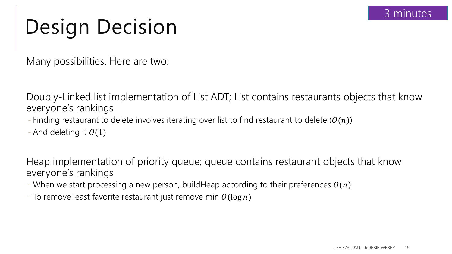### Design Decision

Many possibilities. Here are two:

Doubly-Linked list implementation of List ADT; List contains restaurants objects that know everyone's rankings

- Finding restaurant to delete involves iterating over list to find restaurant to delete  $(0(n))$
- And deleting it  $O(1)$

Heap implementation of priority queue; queue contains restaurant objects that know everyone's rankings

- When we start processing a new person, buildHeap according to their preferences  $O(n)$
- To remove least favorite restaurant just remove min  $O(\log n)$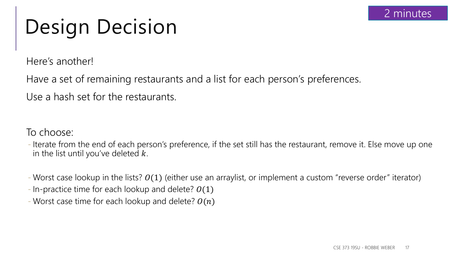### Design Decision

Here's another!

Have a set of remaining restaurants and a list for each person's preferences.

Use a hash set for the restaurants.

To choose:

- Iterate from the end of each person's preference, if the set still has the restaurant, remove it. Else move up one in the list until you've deleted  $k$ .
- Worst case lookup in the lists?  $O(1)$  (either use an arraylist, or implement a custom "reverse order" iterator)
- In-practice time for each lookup and delete?  $O(1)$
- Worst case time for each lookup and delete?  $O(n)$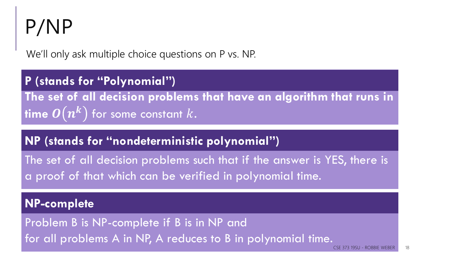## P/NP

We'll only ask multiple choice questions on P vs. NP.

**The set of all decision problems that have an algorithm that runs in**   $\bm{n}$  ( $\bm{n}$   $\bm{n}$ ) for some constant  $k.$ **P (stands for "Polynomial")**

#### **NP (stands for "nondeterministic polynomial")**

The set of all decision problems such that if the answer is YES, there is a proof of that which can be verified in polynomial time.

#### **NP-complete**

Problem B is NP-complete if B is in NP and for all problems A in NP, A reduces to B in polynomial time.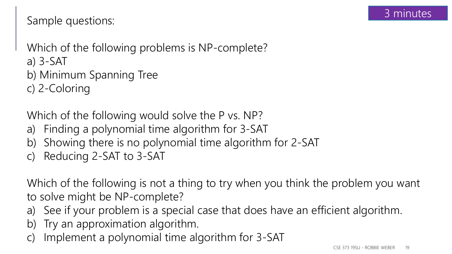#### Sample questions:

Which of the following problems is NP-complete? a) 3-SAT b) Minimum Spanning Tree c) 2-Coloring

Which of the following would solve the P vs. NP?

- a) Finding a polynomial time algorithm for 3-SAT
- b) Showing there is no polynomial time algorithm for 2-SAT
- c) Reducing 2-SAT to 3-SAT

Which of the following is not a thing to try when you think the problem you want to solve might be NP-complete?

- a) See if your problem is a special case that does have an efficient algorithm.
- b) Try an approximation algorithm.
- c) Implement a polynomial time algorithm for 3-SAT